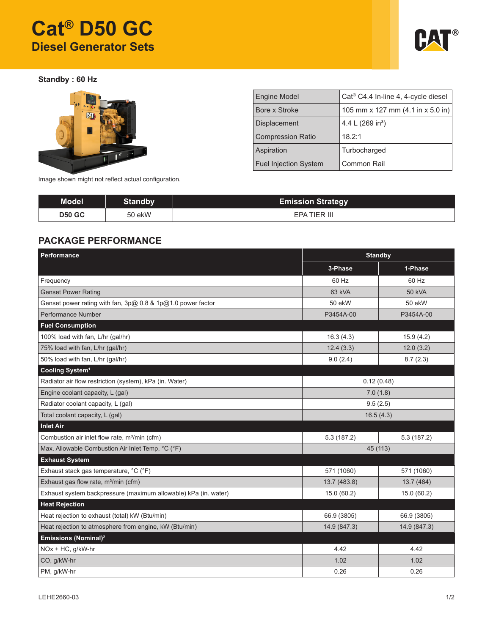# **Cat® D50 GC Diesel Generator Sets**



**Standby : 60 Hz**



| <b>Engine Model</b>          | Cat <sup>®</sup> C4.4 In-line 4, 4-cycle diesel |
|------------------------------|-------------------------------------------------|
| Bore x Stroke                | 105 mm x 127 mm $(4.1$ in x 5.0 in)             |
| <b>Displacement</b>          | 4.4 L $(269 in3)$                               |
| <b>Compression Ratio</b>     | 18.2:1                                          |
| Aspiration                   | Turbocharged                                    |
| <b>Fuel Injection System</b> | Common Rail                                     |

Image shown might not reflect actual configuration.

| Model         | <b>Standby</b> | <b>Emission Strategy</b> |
|---------------|----------------|--------------------------|
| <b>D50 GC</b> | 50 ekW         | EPA TIER III             |

## **PACKAGE PERFORMANCE**

| <b>Performance</b>                                              | <b>Standby</b> |               |  |
|-----------------------------------------------------------------|----------------|---------------|--|
|                                                                 | 3-Phase        | 1-Phase       |  |
| Frequency                                                       | 60 Hz          | 60 Hz         |  |
| <b>Genset Power Rating</b>                                      | 63 kVA         | <b>50 kVA</b> |  |
| Genset power rating with fan, 3p@ 0.8 & 1p@1.0 power factor     | 50 ekW         | 50 ekW        |  |
| Performance Number                                              | P3454A-00      | P3454A-00     |  |
| <b>Fuel Consumption</b>                                         |                |               |  |
| 100% load with fan, L/hr (gal/hr)                               | 16.3(4.3)      | 15.9(4.2)     |  |
| 75% load with fan, L/hr (gal/hr)                                | 12.4(3.3)      | 12.0(3.2)     |  |
| 50% load with fan, L/hr (gal/hr)                                | 9.0(2.4)       | 8.7(2.3)      |  |
| Cooling System <sup>1</sup>                                     |                |               |  |
| Radiator air flow restriction (system), kPa (in. Water)         | 0.12(0.48)     |               |  |
| Engine coolant capacity, L (gal)                                | 7.0(1.8)       |               |  |
| Radiator coolant capacity, L (gal)                              | 9.5(2.5)       |               |  |
| Total coolant capacity, L (gal)                                 | 16.5(4.3)      |               |  |
| <b>Inlet Air</b>                                                |                |               |  |
| Combustion air inlet flow rate, m <sup>3</sup> /min (cfm)       | 5.3(187.2)     | 5.3(187.2)    |  |
| Max. Allowable Combustion Air Inlet Temp, °C (°F)               | 45 (113)       |               |  |
| <b>Exhaust System</b>                                           |                |               |  |
| Exhaust stack gas temperature, °C (°F)                          | 571 (1060)     | 571 (1060)    |  |
| Exhaust gas flow rate, m <sup>3</sup> /min (cfm)                | 13.7 (483.8)   | 13.7 (484)    |  |
| Exhaust system backpressure (maximum allowable) kPa (in. water) | 15.0 (60.2)    | 15.0 (60.2)   |  |
| <b>Heat Rejection</b>                                           |                |               |  |
| Heat rejection to exhaust (total) kW (Btu/min)                  | 66.9 (3805)    | 66.9 (3805)   |  |
| Heat rejection to atmosphere from engine, kW (Btu/min)          | 14.9 (847.3)   | 14.9 (847.3)  |  |
| Emissions (Nominal) <sup>2</sup>                                |                |               |  |
| NOx + HC, g/kW-hr                                               | 4.42           | 4.42          |  |
| CO, g/kW-hr                                                     | 1.02           | 1.02          |  |
| PM, g/kW-hr                                                     | 0.26           | 0.26          |  |